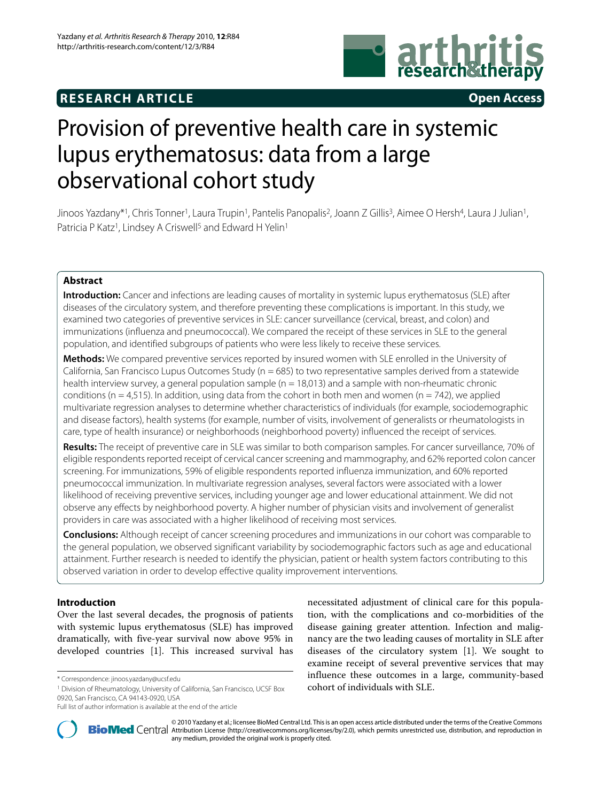## **RESEARCH ARTICLE Open Access**



# Provision of preventive health care in systemic lupus erythematosus: data from a large observational cohort study

Jinoos Yazdany\*1, Chris Tonner1, Laura Trupin1, Pantelis Panopalis2, Joann Z Gillis3, Aimee O Hersh4, Laura J Julian1, Patricia P Katz<sup>1</sup>, Lindsey A Criswell<sup>5</sup> and Edward H Yelin<sup>1</sup>

## **Abstract**

**Introduction:** Cancer and infections are leading causes of mortality in systemic lupus erythematosus (SLE) after diseases of the circulatory system, and therefore preventing these complications is important. In this study, we examined two categories of preventive services in SLE: cancer surveillance (cervical, breast, and colon) and immunizations (influenza and pneumococcal). We compared the receipt of these services in SLE to the general population, and identified subgroups of patients who were less likely to receive these services.

**Methods:** We compared preventive services reported by insured women with SLE enrolled in the University of California, San Francisco Lupus Outcomes Study ( $n = 685$ ) to two representative samples derived from a statewide health interview survey, a general population sample ( $n = 18,013$ ) and a sample with non-rheumatic chronic conditions (n = 4,515). In addition, using data from the cohort in both men and women (n = 742), we applied multivariate regression analyses to determine whether characteristics of individuals (for example, sociodemographic and disease factors), health systems (for example, number of visits, involvement of generalists or rheumatologists in care, type of health insurance) or neighborhoods (neighborhood poverty) influenced the receipt of services.

**Results:** The receipt of preventive care in SLE was similar to both comparison samples. For cancer surveillance, 70% of eligible respondents reported receipt of cervical cancer screening and mammography, and 62% reported colon cancer screening. For immunizations, 59% of eligible respondents reported influenza immunization, and 60% reported pneumococcal immunization. In multivariate regression analyses, several factors were associated with a lower likelihood of receiving preventive services, including younger age and lower educational attainment. We did not observe any effects by neighborhood poverty. A higher number of physician visits and involvement of generalist providers in care was associated with a higher likelihood of receiving most services.

**Conclusions:** Although receipt of cancer screening procedures and immunizations in our cohort was comparable to the general population, we observed significant variability by sociodemographic factors such as age and educational attainment. Further research is needed to identify the physician, patient or health system factors contributing to this observed variation in order to develop effective quality improvement interventions.

## **Introduction**

Over the last several decades, the prognosis of patients with systemic lupus erythematosus (SLE) has improved dramatically, with five-year survival now above 95% in developed countries [\[1](#page-8-0)]. This increased survival has





2010 Yazdany et al.; licensee [BioMed](http://www.biomedcentral.com/) Central Ltd. This is an open access article distributed under the terms of the Creative Commons (http://creativecommons.org/licenses/by/2.0), which permits unrestricted use, distributio any medium, provided the original work is properly cited.

<sup>\*</sup> Correspondence: jinoos.yazdany@ucsf.edu

<sup>1</sup> Division of Rheumatology, University of California, San Francisco, UCSF Box 0920, San Francisco, CA 94143-0920, USA

Full list of author information is available at the end of the article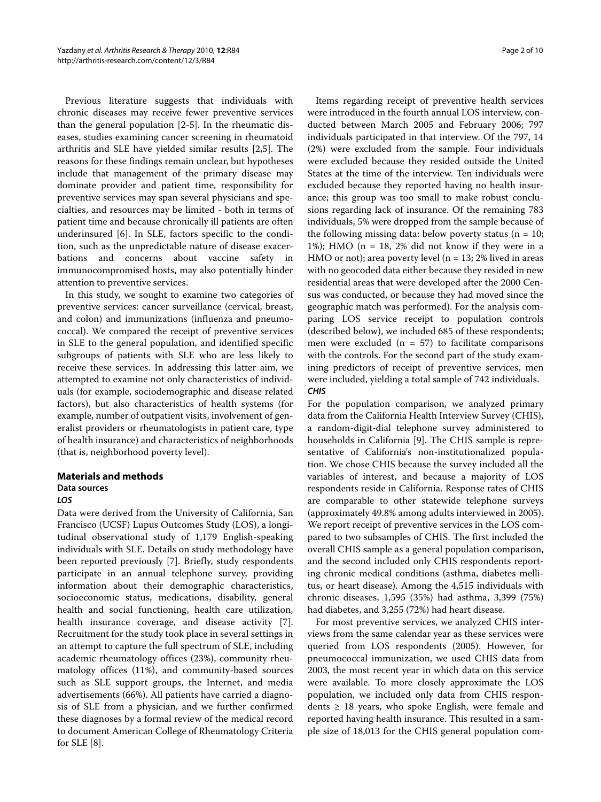Previous literature suggests that individuals with chronic diseases may receive fewer preventive services than the general population [\[2](#page-8-1)-[5\]](#page-8-2). In the rheumatic diseases, studies examining cancer screening in rheumatoid arthritis and SLE have yielded similar results [\[2](#page-8-1)[,5](#page-8-2)]. The reasons for these findings remain unclear, but hypotheses include that management of the primary disease may dominate provider and patient time, responsibility for preventive services may span several physicians and specialties, and resources may be limited - both in terms of patient time and because chronically ill patients are often underinsured [[6\]](#page-8-3). In SLE, factors specific to the condition, such as the unpredictable nature of disease exacerbations and concerns about vaccine safety in immunocompromised hosts, may also potentially hinder attention to preventive services.

In this study, we sought to examine two categories of preventive services: cancer surveillance (cervical, breast, and colon) and immunizations (influenza and pneumococcal). We compared the receipt of preventive services in SLE to the general population, and identified specific subgroups of patients with SLE who are less likely to receive these services. In addressing this latter aim, we attempted to examine not only characteristics of individuals (for example, sociodemographic and disease related factors), but also characteristics of health systems (for example, number of outpatient visits, involvement of generalist providers or rheumatologists in patient care, type of health insurance) and characteristics of neighborhoods (that is, neighborhood poverty level).

## **Materials and methods**

## **Data sources**

## **LOS**

Data were derived from the University of California, San Francisco (UCSF) Lupus Outcomes Study (LOS), a longitudinal observational study of 1,179 English-speaking individuals with SLE. Details on study methodology have been reported previously [\[7](#page-9-0)]. Briefly, study respondents participate in an annual telephone survey, providing information about their demographic characteristics, socioeconomic status, medications, disability, general health and social functioning, health care utilization, health insurance coverage, and disease activity [\[7](#page-9-0)]. Recruitment for the study took place in several settings in an attempt to capture the full spectrum of SLE, including academic rheumatology offices (23%), community rheumatology offices (11%), and community-based sources such as SLE support groups, the Internet, and media advertisements (66%). All patients have carried a diagnosis of SLE from a physician, and we further confirmed these diagnoses by a formal review of the medical record to document American College of Rheumatology Criteria for SLE [\[8](#page-9-1)].

Items regarding receipt of preventive health services were introduced in the fourth annual LOS interview, conducted between March 2005 and February 2006; 797 individuals participated in that interview. Of the 797, 14 (2%) were excluded from the sample. Four individuals were excluded because they resided outside the United States at the time of the interview. Ten individuals were excluded because they reported having no health insurance; this group was too small to make robust conclusions regarding lack of insurance. Of the remaining 783 individuals, 5% were dropped from the sample because of the following missing data: below poverty status ( $n = 10$ ; 1%); HMO ( $n = 18$ , 2% did not know if they were in a HMO or not); area poverty level ( $n = 13$ ; 2% lived in areas with no geocoded data either because they resided in new residential areas that were developed after the 2000 Census was conducted, or because they had moved since the geographic match was performed). For the analysis comparing LOS service receipt to population controls (described below), we included 685 of these respondents; men were excluded ( $n = 57$ ) to facilitate comparisons with the controls. For the second part of the study examining predictors of receipt of preventive services, men were included, yielding a total sample of 742 individuals. **CHIS**

For the population comparison, we analyzed primary data from the California Health Interview Survey (CHIS), a random-digit-dial telephone survey administered to households in California [[9\]](#page-9-2). The CHIS sample is representative of California's non-institutionalized population. We chose CHIS because the survey included all the variables of interest, and because a majority of LOS respondents reside in California. Response rates of CHIS are comparable to other statewide telephone surveys (approximately 49.8% among adults interviewed in 2005). We report receipt of preventive services in the LOS compared to two subsamples of CHIS. The first included the overall CHIS sample as a general population comparison, and the second included only CHIS respondents reporting chronic medical conditions (asthma, diabetes mellitus, or heart disease). Among the 4,515 individuals with chronic diseases, 1,595 (35%) had asthma, 3,399 (75%) had diabetes, and 3,255 (72%) had heart disease.

For most preventive services, we analyzed CHIS interviews from the same calendar year as these services were queried from LOS respondents (2005). However, for pneumococcal immunization, we used CHIS data from 2003, the most recent year in which data on this service were available. To more closely approximate the LOS population, we included only data from CHIS respondents  $\geq$  18 years, who spoke English, were female and reported having health insurance. This resulted in a sample size of 18,013 for the CHIS general population com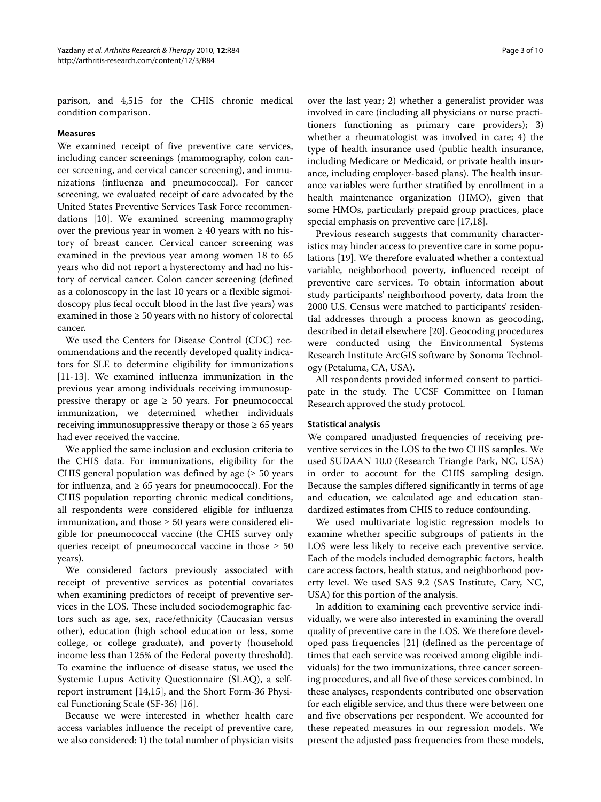parison, and 4,515 for the CHIS chronic medical condition comparison.

#### **Measures**

We examined receipt of five preventive care services, including cancer screenings (mammography, colon cancer screening, and cervical cancer screening), and immunizations (influenza and pneumococcal). For cancer screening, we evaluated receipt of care advocated by the United States Preventive Services Task Force recommendations [[10\]](#page-9-3). We examined screening mammography over the previous year in women  $\geq 40$  years with no history of breast cancer. Cervical cancer screening was examined in the previous year among women 18 to 65 years who did not report a hysterectomy and had no history of cervical cancer. Colon cancer screening (defined as a colonoscopy in the last 10 years or a flexible sigmoidoscopy plus fecal occult blood in the last five years) was examined in those  $\geq 50$  years with no history of colorectal cancer.

We used the Centers for Disease Control (CDC) recommendations and the recently developed quality indicators for SLE to determine eligibility for immunizations [[11-](#page-9-4)[13](#page-9-5)]. We examined influenza immunization in the previous year among individuals receiving immunosuppressive therapy or age  $\geq$  50 years. For pneumococcal immunization, we determined whether individuals receiving immunosuppressive therapy or those  $\geq 65$  years had ever received the vaccine.

We applied the same inclusion and exclusion criteria to the CHIS data. For immunizations, eligibility for the CHIS general population was defined by age  $(≥ 50$  years for influenza, and  $\geq 65$  years for pneumococcal). For the CHIS population reporting chronic medical conditions, all respondents were considered eligible for influenza immunization, and those  $\geq 50$  years were considered eligible for pneumococcal vaccine (the CHIS survey only queries receipt of pneumococcal vaccine in those  $\geq 50$ years).

We considered factors previously associated with receipt of preventive services as potential covariates when examining predictors of receipt of preventive services in the LOS. These included sociodemographic factors such as age, sex, race/ethnicity (Caucasian versus other), education (high school education or less, some college, or college graduate), and poverty (household income less than 125% of the Federal poverty threshold). To examine the influence of disease status, we used the Systemic Lupus Activity Questionnaire (SLAQ), a selfreport instrument [\[14,](#page-9-6)[15\]](#page-9-7), and the Short Form-36 Physical Functioning Scale (SF-36) [\[16\]](#page-9-8).

Because we were interested in whether health care access variables influence the receipt of preventive care, we also considered: 1) the total number of physician visits

over the last year; 2) whether a generalist provider was involved in care (including all physicians or nurse practitioners functioning as primary care providers); 3) whether a rheumatologist was involved in care; 4) the type of health insurance used (public health insurance, including Medicare or Medicaid, or private health insurance, including employer-based plans). The health insurance variables were further stratified by enrollment in a health maintenance organization (HMO), given that some HMOs, particularly prepaid group practices, place special emphasis on preventive care [\[17](#page-9-9)[,18\]](#page-9-10).

Previous research suggests that community characteristics may hinder access to preventive care in some populations [[19](#page-9-11)]. We therefore evaluated whether a contextual variable, neighborhood poverty, influenced receipt of preventive care services. To obtain information about study participants' neighborhood poverty, data from the 2000 U.S. Census were matched to participants' residential addresses through a process known as geocoding, described in detail elsewhere [[20\]](#page-9-12). Geocoding procedures were conducted using the Environmental Systems Research Institute ArcGIS software by Sonoma Technology (Petaluma, CA, USA).

All respondents provided informed consent to participate in the study. The UCSF Committee on Human Research approved the study protocol.

#### **Statistical analysis**

We compared unadjusted frequencies of receiving preventive services in the LOS to the two CHIS samples. We used SUDAAN 10.0 (Research Triangle Park, NC, USA) in order to account for the CHIS sampling design. Because the samples differed significantly in terms of age and education, we calculated age and education standardized estimates from CHIS to reduce confounding.

We used multivariate logistic regression models to examine whether specific subgroups of patients in the LOS were less likely to receive each preventive service. Each of the models included demographic factors, health care access factors, health status, and neighborhood poverty level. We used SAS 9.2 (SAS Institute, Cary, NC, USA) for this portion of the analysis.

In addition to examining each preventive service individually, we were also interested in examining the overall quality of preventive care in the LOS. We therefore developed pass frequencies [\[21](#page-9-13)] (defined as the percentage of times that each service was received among eligible individuals) for the two immunizations, three cancer screening procedures, and all five of these services combined. In these analyses, respondents contributed one observation for each eligible service, and thus there were between one and five observations per respondent. We accounted for these repeated measures in our regression models. We present the adjusted pass frequencies from these models,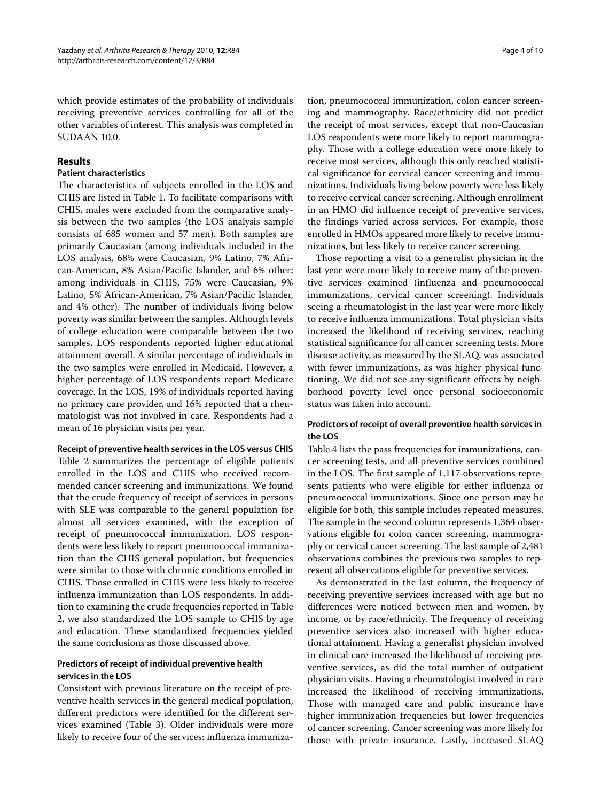which provide estimates of the probability of individuals receiving preventive services controlling for all of the other variables of interest. This analysis was completed in SUDAAN 10.0.

## **Results**

#### **Patient characteristics**

The characteristics of subjects enrolled in the LOS and CHIS are listed in Table 1. To facilitate comparisons with CHIS, males were excluded from the comparative analysis between the two samples (the LOS analysis sample consists of 685 women and 57 men). Both samples are primarily Caucasian (among individuals included in the LOS analysis, 68% were Caucasian, 9% Latino, 7% African-American, 8% Asian/Pacific Islander, and 6% other; among individuals in CHIS, 75% were Caucasian, 9% Latino, 5% African-American, 7% Asian/Pacific Islander, and 4% other). The number of individuals living below poverty was similar between the samples. Although levels of college education were comparable between the two samples, LOS respondents reported higher educational attainment overall. A similar percentage of individuals in the two samples were enrolled in Medicaid. However, a higher percentage of LOS respondents report Medicare coverage. In the LOS, 19% of individuals reported having no primary care provider, and 16% reported that a rheumatologist was not involved in care. Respondents had a mean of 16 physician visits per year.

#### **Receipt of preventive health services in the LOS versus CHIS**

Table 2 summarizes the percentage of eligible patients enrolled in the LOS and CHIS who received recommended cancer screening and immunizations. We found that the crude frequency of receipt of services in persons with SLE was comparable to the general population for almost all services examined, with the exception of receipt of pneumococcal immunization. LOS respondents were less likely to report pneumococcal immunization than the CHIS general population, but frequencies were similar to those with chronic conditions enrolled in CHIS. Those enrolled in CHIS were less likely to receive influenza immunization than LOS respondents. In addition to examining the crude frequencies reported in Table 2, we also standardized the LOS sample to CHIS by age and education. These standardized frequencies yielded the same conclusions as those discussed above.

## **Predictors of receipt of individual preventive health services in the LOS**

Consistent with previous literature on the receipt of preventive health services in the general medical population, different predictors were identified for the different services examined (Table 3). Older individuals were more likely to receive four of the services: influenza immuniza-

tion, pneumococcal immunization, colon cancer screening and mammography. Race/ethnicity did not predict the receipt of most services, except that non-Caucasian LOS respondents were more likely to report mammography. Those with a college education were more likely to receive most services, although this only reached statistical significance for cervical cancer screening and immunizations. Individuals living below poverty were less likely to receive cervical cancer screening. Although enrollment in an HMO did influence receipt of preventive services, the findings varied across services. For example, those enrolled in HMOs appeared more likely to receive immunizations, but less likely to receive cancer screening.

Those reporting a visit to a generalist physician in the last year were more likely to receive many of the preventive services examined (influenza and pneumococcal immunizations, cervical cancer screening). Individuals seeing a rheumatologist in the last year were more likely to receive influenza immunizations. Total physician visits increased the likelihood of receiving services, reaching statistical significance for all cancer screening tests. More disease activity, as measured by the SLAQ, was associated with fewer immunizations, as was higher physical functioning. We did not see any significant effects by neighborhood poverty level once personal socioeconomic status was taken into account.

## **Predictors of receipt of overall preventive health services in the LOS**

Table 4 lists the pass frequencies for immunizations, cancer screening tests, and all preventive services combined in the LOS. The first sample of 1,117 observations represents patients who were eligible for either influenza or pneumococcal immunizations. Since one person may be eligible for both, this sample includes repeated measures. The sample in the second column represents 1,364 observations eligible for colon cancer screening, mammography or cervical cancer screening. The last sample of 2,481 observations combines the previous two samples to represent all observations eligible for preventive services.

As demonstrated in the last column, the frequency of receiving preventive services increased with age but no differences were noticed between men and women, by income, or by race/ethnicity. The frequency of receiving preventive services also increased with higher educational attainment. Having a generalist physician involved in clinical care increased the likelihood of receiving preventive services, as did the total number of outpatient physician visits. Having a rheumatologist involved in care increased the likelihood of receiving immunizations. Those with managed care and public insurance have higher immunization frequencies but lower frequencies of cancer screening. Cancer screening was more likely for those with private insurance. Lastly, increased SLAQ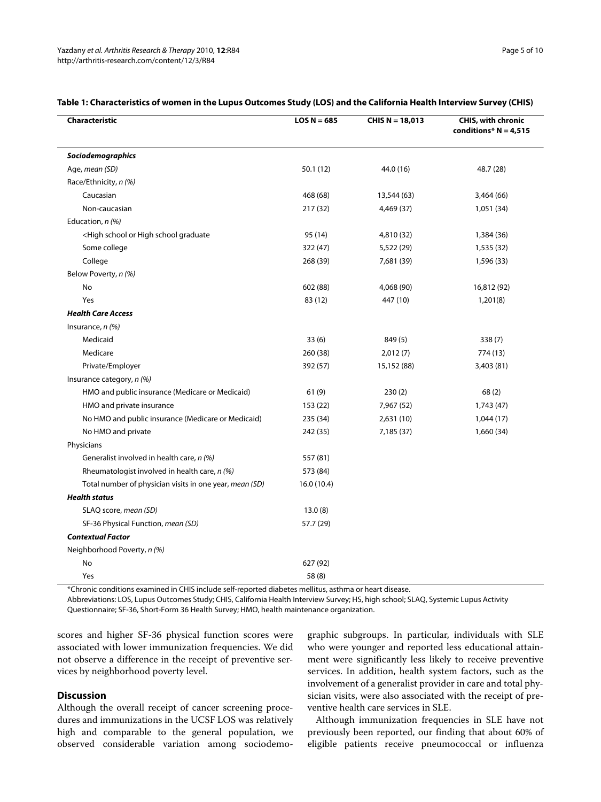| Characteristic                                                                                                 | $LOS N = 685$ | CHIS $N = 18,013$ | <b>CHIS, with chronic</b><br>conditions* $N = 4,515$ |  |
|----------------------------------------------------------------------------------------------------------------|---------------|-------------------|------------------------------------------------------|--|
| Sociodemographics                                                                                              |               |                   |                                                      |  |
| Age, mean (SD)                                                                                                 | 50.1(12)      | 44.0 (16)         | 48.7 (28)                                            |  |
| Race/Ethnicity, n (%)                                                                                          |               |                   |                                                      |  |
| Caucasian                                                                                                      | 468 (68)      | 13,544 (63)       | 3,464 (66)                                           |  |
| Non-caucasian                                                                                                  | 217 (32)      | 4,469 (37)        | 1,051 (34)                                           |  |
| Education, n (%)                                                                                               |               |                   |                                                      |  |
| <high graduate<="" high="" or="" school="" td=""><td>95 (14)</td><td>4,810 (32)</td><td>1,384 (36)</td></high> | 95 (14)       | 4,810 (32)        | 1,384 (36)                                           |  |
| Some college                                                                                                   | 322 (47)      | 5,522 (29)        | 1,535 (32)                                           |  |
| College                                                                                                        | 268 (39)      | 7,681 (39)        | 1,596 (33)                                           |  |
| Below Poverty, n (%)                                                                                           |               |                   |                                                      |  |
| No                                                                                                             | 602 (88)      | 4,068 (90)        | 16,812 (92)                                          |  |
| Yes                                                                                                            | 83 (12)       | 447 (10)          | 1,201(8)                                             |  |
| <b>Health Care Access</b>                                                                                      |               |                   |                                                      |  |
| Insurance, $n$ (%)                                                                                             |               |                   |                                                      |  |
| Medicaid                                                                                                       | 33(6)         | 849 (5)           | 338 (7)                                              |  |
| Medicare                                                                                                       | 260 (38)      | 2,012(7)          | 774 (13)                                             |  |
| Private/Employer                                                                                               | 392 (57)      | 15,152 (88)       | 3,403 (81)                                           |  |
| Insurance category, n (%)                                                                                      |               |                   |                                                      |  |
| HMO and public insurance (Medicare or Medicaid)                                                                | 61(9)         | 230(2)            | 68(2)                                                |  |
| HMO and private insurance                                                                                      | 153 (22)      | 7,967 (52)        | 1,743 (47)                                           |  |
| No HMO and public insurance (Medicare or Medicaid)                                                             | 235 (34)      | 2,631(10)         | 1,044 (17)                                           |  |
| No HMO and private                                                                                             | 242 (35)      | 7,185 (37)        | 1,660 (34)                                           |  |
| Physicians                                                                                                     |               |                   |                                                      |  |
| Generalist involved in health care, n (%)                                                                      | 557 (81)      |                   |                                                      |  |
| Rheumatologist involved in health care, n (%)                                                                  | 573 (84)      |                   |                                                      |  |
| Total number of physician visits in one year, mean (SD)                                                        | 16.0 (10.4)   |                   |                                                      |  |
| <b>Health status</b>                                                                                           |               |                   |                                                      |  |
| SLAQ score, mean (SD)                                                                                          | 13.0(8)       |                   |                                                      |  |
| SF-36 Physical Function, mean (SD)                                                                             | 57.7 (29)     |                   |                                                      |  |
| <b>Contextual Factor</b>                                                                                       |               |                   |                                                      |  |
| Neighborhood Poverty, n (%)                                                                                    |               |                   |                                                      |  |
| No                                                                                                             | 627 (92)      |                   |                                                      |  |
| Yes                                                                                                            | 58 (8)        |                   |                                                      |  |

## **Table 1: Characteristics of women in the Lupus Outcomes Study (LOS) and the California Health Interview Survey (CHIS)**

\*Chronic conditions examined in CHIS include self-reported diabetes mellitus, asthma or heart disease.

Abbreviations: LOS, Lupus Outcomes Study; CHIS, California Health Interview Survey; HS, high school; SLAQ, Systemic Lupus Activity Questionnaire; SF-36, Short-Form 36 Health Survey; HMO, health maintenance organization.

scores and higher SF-36 physical function scores were associated with lower immunization frequencies. We did not observe a difference in the receipt of preventive services by neighborhood poverty level.

## **Discussion**

Although the overall receipt of cancer screening procedures and immunizations in the UCSF LOS was relatively high and comparable to the general population, we observed considerable variation among sociodemo-

graphic subgroups. In particular, individuals with SLE who were younger and reported less educational attainment were significantly less likely to receive preventive services. In addition, health system factors, such as the involvement of a generalist provider in care and total physician visits, were also associated with the receipt of preventive health care services in SLE.

Although immunization frequencies in SLE have not previously been reported, our finding that about 60% of eligible patients receive pneumococcal or influenza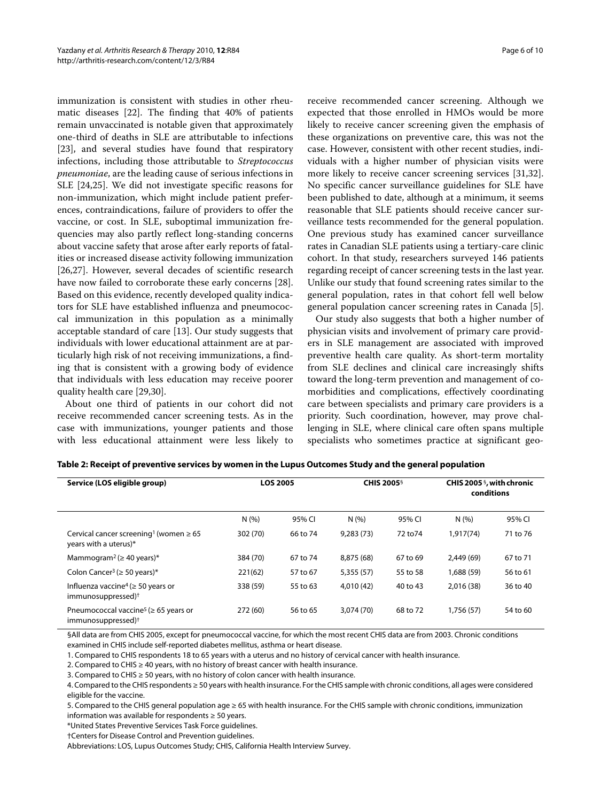immunization is consistent with studies in other rheumatic diseases [[22\]](#page-9-14). The finding that 40% of patients remain unvaccinated is notable given that approximately one-third of deaths in SLE are attributable to infections [[23\]](#page-9-15), and several studies have found that respiratory infections, including those attributable to *Streptococcus pneumoniae*, are the leading cause of serious infections in SLE [[24](#page-9-16),[25\]](#page-9-17). We did not investigate specific reasons for non-immunization, which might include patient preferences, contraindications, failure of providers to offer the vaccine, or cost. In SLE, suboptimal immunization frequencies may also partly reflect long-standing concerns about vaccine safety that arose after early reports of fatalities or increased disease activity following immunization [[26,](#page-9-18)[27\]](#page-9-19). However, several decades of scientific research have now failed to corroborate these early concerns [\[28](#page-9-20)]. Based on this evidence, recently developed quality indicators for SLE have established influenza and pneumococcal immunization in this population as a minimally acceptable standard of care [[13\]](#page-9-5). Our study suggests that individuals with lower educational attainment are at particularly high risk of not receiving immunizations, a finding that is consistent with a growing body of evidence that individuals with less education may receive poorer quality health care [\[29](#page-9-21)[,30](#page-9-22)].

About one third of patients in our cohort did not receive recommended cancer screening tests. As in the case with immunizations, younger patients and those with less educational attainment were less likely to

receive recommended cancer screening. Although we expected that those enrolled in HMOs would be more likely to receive cancer screening given the emphasis of these organizations on preventive care, this was not the case. However, consistent with other recent studies, individuals with a higher number of physician visits were more likely to receive cancer screening services [\[31](#page-9-23)[,32](#page-9-24)]. No specific cancer surveillance guidelines for SLE have been published to date, although at a minimum, it seems reasonable that SLE patients should receive cancer surveillance tests recommended for the general population. One previous study has examined cancer surveillance rates in Canadian SLE patients using a tertiary-care clinic cohort. In that study, researchers surveyed 146 patients regarding receipt of cancer screening tests in the last year. Unlike our study that found screening rates similar to the general population, rates in that cohort fell well below general population cancer screening rates in Canada [\[5](#page-8-2)].

Our study also suggests that both a higher number of physician visits and involvement of primary care providers in SLE management are associated with improved preventive health care quality. As short-term mortality from SLE declines and clinical care increasingly shifts toward the long-term prevention and management of comorbidities and complications, effectively coordinating care between specialists and primary care providers is a priority. Such coordination, however, may prove challenging in SLE, where clinical care often spans multiple specialists who sometimes practice at significant geo-

| Service (LOS eligible group)                                                             |          | <b>LOS 2005</b> |            | <b>CHIS 2005</b> <sup>§</sup> |            | CHIS 2005 $\frac{6}{3}$ , with chronic<br>conditions |  |
|------------------------------------------------------------------------------------------|----------|-----------------|------------|-------------------------------|------------|------------------------------------------------------|--|
|                                                                                          | N(%)     | 95% CI          | N(%)       | 95% CI                        | N(%)       | 95% CI                                               |  |
| Cervical cancer screening <sup>1</sup> (women $\geq 65$<br>years with a uterus)*         | 302 (70) | 66 to 74        | 9,283(73)  | 72 to 74                      | 1,917(74)  | 71 to 76                                             |  |
| Mammogram <sup>2</sup> ( $\geq$ 40 years)*                                               | 384 (70) | 67 to 74        | 8,875 (68) | 67 to 69                      | 2.449(69)  | 67 to 71                                             |  |
| Colon Cancer <sup>3</sup> ( $\geq$ 50 years)*                                            | 221(62)  | 57 to 67        | 5,355(57)  | 55 to 58                      | 1,688 (59) | 56 to 61                                             |  |
| Influenza vaccine <sup>4</sup> ( $\geq$ 50 years or<br>immunosuppressed) <sup>†</sup>    | 338 (59) | 55 to 63        | 4,010 (42) | 40 to 43                      | 2.016 (38) | 36 to 40                                             |  |
| Pneumococcal vaccine <sup>5</sup> ( $\geq$ 65 years or<br>immunosuppressed) <sup>†</sup> | 272 (60) | 56 to 65        | 3,074 (70) | 68 to 72                      | 1.756(57)  | 54 to 60                                             |  |

**Table 2: Receipt of preventive services by women in the Lupus Outcomes Study and the general population**

§All data are from CHIS 2005, except for pneumococcal vaccine, for which the most recent CHIS data are from 2003. Chronic conditions examined in CHIS include self-reported diabetes mellitus, asthma or heart disease.

1. Compared to CHIS respondents 18 to 65 years with a uterus and no history of cervical cancer with health insurance.

2. Compared to CHIS ≥ 40 years, with no history of breast cancer with health insurance.

3. Compared to CHIS ≥ 50 years, with no history of colon cancer with health insurance.

4. Compared to the CHIS respondents ≥ 50 years with health insurance. For the CHIS sample with chronic conditions, all ages were considered eligible for the vaccine.

5. Compared to the CHIS general population age ≥ 65 with health insurance. For the CHIS sample with chronic conditions, immunization information was available for respondents ≥ 50 years.

\*United States Preventive Services Task Force guidelines.

†Centers for Disease Control and Prevention guidelines.

Abbreviations: LOS, Lupus Outcomes Study; CHIS, California Health Interview Survey.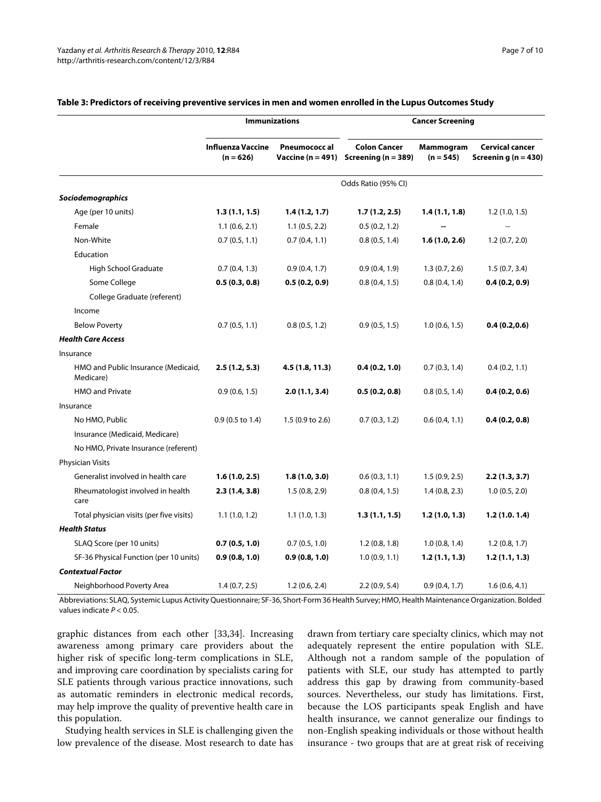|                                                  | <b>Immunizations</b>                    |                     | <b>Cancer Screening</b>                                              |                          |                                                   |  |
|--------------------------------------------------|-----------------------------------------|---------------------|----------------------------------------------------------------------|--------------------------|---------------------------------------------------|--|
|                                                  | <b>Influenza Vaccine</b><br>$(n = 626)$ | <b>Pneumococcal</b> | <b>Colon Cancer</b><br>Vaccine ( $n = 491$ ) Screening ( $n = 389$ ) | Mammogram<br>$(n = 545)$ | <b>Cervical cancer</b><br>Screening ( $n = 430$ ) |  |
|                                                  |                                         |                     | Odds Ratio (95% CI)                                                  |                          |                                                   |  |
| <b>Sociodemographics</b>                         |                                         |                     |                                                                      |                          |                                                   |  |
| Age (per 10 units)                               | 1.3(1.1, 1.5)                           | 1.4(1.2, 1.7)       | 1.7(1.2, 2.5)                                                        | 1.4(1.1, 1.8)            | 1.2(1.0, 1.5)                                     |  |
| Female                                           | 1.1(0.6, 2.1)                           | 1.1(0.5, 2.2)       | 0.5(0.2, 1.2)                                                        |                          | $\overline{a}$                                    |  |
| Non-White                                        | 0.7(0.5, 1.1)                           | 0.7(0.4, 1.1)       | 0.8(0.5, 1.4)                                                        | 1.6(1.0, 2.6)            | 1.2(0.7, 2.0)                                     |  |
| Education                                        |                                         |                     |                                                                      |                          |                                                   |  |
| High School Graduate                             | 0.7(0.4, 1.3)                           | 0.9(0.4, 1.7)       | 0.9(0.4, 1.9)                                                        | 1.3(0.7, 2.6)            | 1.5(0.7, 3.4)                                     |  |
| Some College                                     | 0.5(0.3, 0.8)                           | 0.5(0.2, 0.9)       | 0.8(0.4, 1.5)                                                        | 0.8(0.4, 1.4)            | 0.4(0.2, 0.9)                                     |  |
| College Graduate (referent)                      |                                         |                     |                                                                      |                          |                                                   |  |
| Income                                           |                                         |                     |                                                                      |                          |                                                   |  |
| <b>Below Poverty</b>                             | 0.7(0.5, 1.1)                           | 0.8(0.5, 1.2)       | 0.9(0.5, 1.5)                                                        | 1.0(0.6, 1.5)            | 0.4(0.2,0.6)                                      |  |
| <b>Health Care Access</b>                        |                                         |                     |                                                                      |                          |                                                   |  |
| Insurance                                        |                                         |                     |                                                                      |                          |                                                   |  |
| HMO and Public Insurance (Medicaid,<br>Medicare) | 2.5(1.2, 5.3)                           | 4.5 (1.8, 11.3)     | 0.4(0.2, 1.0)                                                        | 0.7(0.3, 1.4)            | 0.4(0.2, 1.1)                                     |  |
| <b>HMO and Private</b>                           | 0.9(0.6, 1.5)                           | 2.0(1.1, 3.4)       | 0.5(0.2, 0.8)                                                        | 0.8(0.5, 1.4)            | 0.4(0.2, 0.6)                                     |  |
| Insurance                                        |                                         |                     |                                                                      |                          |                                                   |  |
| No HMO, Public                                   | 0.9 (0.5 to 1.4)                        | 1.5 (0.9 to 2.6)    | 0.7(0.3, 1.2)                                                        | 0.6(0.4, 1.1)            | 0.4(0.2, 0.8)                                     |  |
| Insurance (Medicaid, Medicare)                   |                                         |                     |                                                                      |                          |                                                   |  |
| No HMO, Private Insurance (referent)             |                                         |                     |                                                                      |                          |                                                   |  |
| <b>Physician Visits</b>                          |                                         |                     |                                                                      |                          |                                                   |  |
| Generalist involved in health care               | 1.6(1.0, 2.5)                           | 1.8(1.0, 3.0)       | 0.6(0.3, 1.1)                                                        | 1.5(0.9, 2.5)            | 2.2(1.3, 3.7)                                     |  |
| Rheumatologist involved in health<br>care        | 2.3(1.4, 3.8)                           | 1.5(0.8, 2.9)       | 0.8(0.4, 1.5)                                                        | 1.4(0.8, 2.3)            | 1.0(0.5, 2.0)                                     |  |
| Total physician visits (per five visits)         | 1.1(1.0, 1.2)                           | 1.1(1.0, 1.3)       | 1.3(1.1, 1.5)                                                        | 1.2(1.0, 1.3)            | 1.2(1.0.1.4)                                      |  |
| <b>Health Status</b>                             |                                         |                     |                                                                      |                          |                                                   |  |
| SLAQ Score (per 10 units)                        | 0.7(0.5, 1.0)                           | 0.7(0.5, 1.0)       | 1.2(0.8, 1.8)                                                        | 1.0(0.8, 1.4)            | 1.2(0.8, 1.7)                                     |  |
| SF-36 Physical Function (per 10 units)           | 0.9(0.8, 1.0)                           | 0.9(0.8, 1.0)       | 1.0(0.9, 1.1)                                                        | 1.2(1.1, 1.3)            | 1.2(1.1, 1.3)                                     |  |
| <b>Contextual Factor</b>                         |                                         |                     |                                                                      |                          |                                                   |  |
| Neighborhood Poverty Area                        | 1.4(0.7, 2.5)                           | 1.2(0.6, 2.4)       | 2.2(0.9, 5.4)                                                        | 0.9(0.4, 1.7)            | 1.6(0.6, 4.1)                                     |  |

## **Table 3: Predictors of receiving preventive services in men and women enrolled in the Lupus Outcomes Study**

Abbreviations: SLAQ, Systemic Lupus Activity Questionnaire; SF-36, Short-Form 36 Health Survey; HMO, Health Maintenance Organization. Bolded values indicate  $P < 0.05$ .

graphic distances from each other [\[33](#page-9-25)[,34](#page-9-26)]. Increasing awareness among primary care providers about the higher risk of specific long-term complications in SLE, and improving care coordination by specialists caring for SLE patients through various practice innovations, such as automatic reminders in electronic medical records, may help improve the quality of preventive health care in this population.

Studying health services in SLE is challenging given the low prevalence of the disease. Most research to date has drawn from tertiary care specialty clinics, which may not adequately represent the entire population with SLE. Although not a random sample of the population of patients with SLE, our study has attempted to partly address this gap by drawing from community-based sources. Nevertheless, our study has limitations. First, because the LOS participants speak English and have health insurance, we cannot generalize our findings to non-English speaking individuals or those without health insurance - two groups that are at great risk of receiving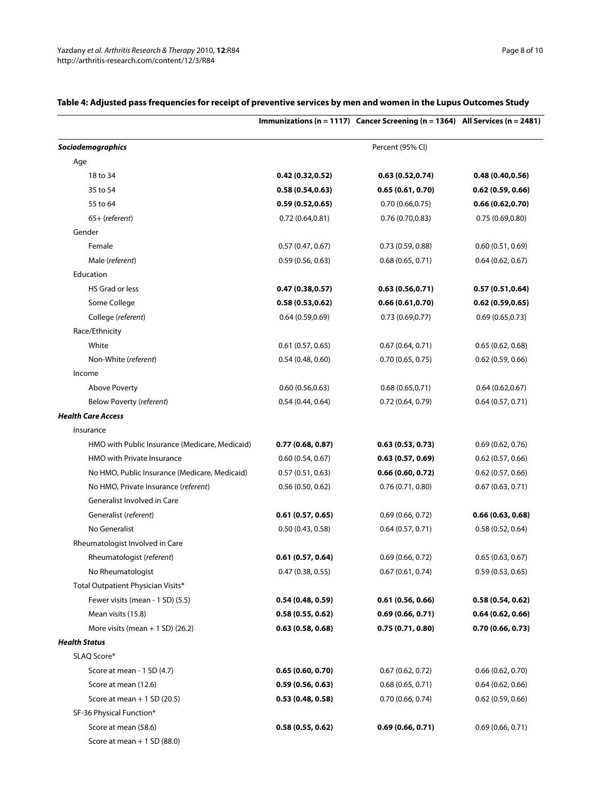|                                                |                  | Immunizations (n = 1117) Cancer Screening (n = 1364) All Services (n = 2481) |                     |
|------------------------------------------------|------------------|------------------------------------------------------------------------------|---------------------|
| Sociodemographics                              |                  | Percent (95% CI)                                                             |                     |
| Age                                            |                  |                                                                              |                     |
| 18 to 34                                       | 0.42(0.32, 0.52) | 0.63(0.52,0.74)                                                              | 0.48(0.40, 0.56)    |
| 35 to 54                                       | 0.58(0.54, 0.63) | 0.65(0.61, 0.70)                                                             | 0.62(0.59, 0.66)    |
| 55 to 64                                       | 0.59(0.52, 0.65) | 0.70(0.66, 0.75)                                                             | 0.66(0.62, 0.70)    |
| $65+$ (referent)                               | 0.72(0.64, 0.81) | 0.76(0.70, 0.83)                                                             | 0.75(0.69, 0.80)    |
| Gender                                         |                  |                                                                              |                     |
| Female                                         | 0.57(0.47, 0.67) | 0.73(0.59, 0.88)                                                             | 0.60(0.51, 0.69)    |
| Male (referent)                                | 0.59(0.56, 0.63) | 0.68(0.65, 0.71)                                                             | 0.64(0.62, 0.67)    |
| Education                                      |                  |                                                                              |                     |
| HS Grad or less                                | 0.47(0.38, 0.57) | 0.63(0.56, 0.71)                                                             | 0.57(0.51, 0.64)    |
| Some College                                   | 0.58(0.53, 0.62) | 0.66(0.61, 0.70)                                                             | 0.62(0.59, 0.65)    |
| College (referent)                             | 0.64(0.59, 0.69) | 0.73(0.69, 0.77)                                                             | 0.69(0.65,0.73)     |
| Race/Ethnicity                                 |                  |                                                                              |                     |
| White                                          | 0.61(0.57, 0.65) | 0.67(0.64, 0.71)                                                             | 0.65(0.62, 0.68)    |
| Non-White (referent)                           | 0.54(0.48, 0.60) | 0.70(0.65, 0.75)                                                             | $0.62$ (0.59, 0.66) |
| Income                                         |                  |                                                                              |                     |
| <b>Above Poverty</b>                           | 0.60(0.56, 0.63) | 0.68(0.65, 0.71)                                                             | 0.64(0.62, 0.67)    |
| Below Poverty (referent)                       | 0.54(0.44, 0.64) | 0.72 (0.64, 0.79)                                                            | 0.64(0.57, 0.71)    |
| <b>Health Care Access</b>                      |                  |                                                                              |                     |
| Insurance                                      |                  |                                                                              |                     |
| HMO with Public Insurance (Medicare, Medicaid) | 0.77(0.68, 0.87) | 0.63(0.53, 0.73)                                                             | 0.69(0.62, 0.76)    |
| HMO with Private Insurance                     | 0.60(0.54, 0.67) | 0.63(0.57, 0.69)                                                             | 0.62(0.57, 0.66)    |
| No HMO, Public Insurance (Medicare, Medicaid)  | 0.57(0.51, 0.63) | 0.66(0.60, 0.72)                                                             | 0.62(0.57, 0.66)    |
| No HMO, Private Insurance (referent)           | 0.56(0.50, 0.62) | 0.76(0.71, 0.80)                                                             | 0.67(0.63, 0.71)    |
| Generalist Involved in Care                    |                  |                                                                              |                     |
| Generalist (referent)                          | 0.61(0.57, 0.65) | 0.69(0.66, 0.72)                                                             | 0.66(0.63, 0.68)    |
| No Generalist                                  | 0.50(0.43, 0.58) | 0.64(0.57, 0.71)                                                             | 0.58(0.52, 0.64)    |
| Rheumatologist Involved in Care                |                  |                                                                              |                     |
| Rheumatologist (referent)                      | 0.61(0.57, 0.64) | 0.69(0.66, 0.72)                                                             | 0.65(0.63, 0.67)    |
| No Rheumatologist                              | 0.47(0.38, 0.55) | 0.67(0.61, 0.74)                                                             | 0.59(0.53, 0.65)    |
| Total Outpatient Physician Visits*             |                  |                                                                              |                     |
| Fewer visits (mean - 1 SD) (5.5)               | 0.54(0.48, 0.59) | 0.61(0.56, 0.66)                                                             | 0.58(0.54, 0.62)    |
| Mean visits (15.8)                             | 0.58(0.55, 0.62) | 0.69(0.66, 0.71)                                                             | 0.64(0.62, 0.66)    |
| More visits (mean $+$ 1 SD) (26.2)             | 0.63(0.58, 0.68) | 0.75(0.71, 0.80)                                                             | 0.70(0.66, 0.73)    |
| <b>Health Status</b>                           |                  |                                                                              |                     |
| SLAQ Score*                                    |                  |                                                                              |                     |
| Score at mean - 1 SD (4.7)                     | 0.65(0.60, 0.70) | 0.67(0.62, 0.72)                                                             | 0.66(0.62, 0.70)    |
| Score at mean (12.6)                           | 0.59(0.56, 0.63) | 0.68(0.65, 0.71)                                                             | 0.64(0.62, 0.66)    |
| Score at mean $+1$ SD (20.5)                   | 0.53(0.48, 0.58) | 0.70 (0.66, 0.74)                                                            | 0.62(0.59, 0.66)    |
| SF-36 Physical Function*                       |                  |                                                                              |                     |
| Score at mean (58.6)                           | 0.58(0.55, 0.62) | 0.69(0.66, 0.71)                                                             | 0.69(0.66, 0.71)    |
| Score at mean $+1$ SD (88.0)                   |                  |                                                                              |                     |

## **Table 4: Adjusted pass frequencies for receipt of preventive services by men and women in the Lupus Outcomes Study**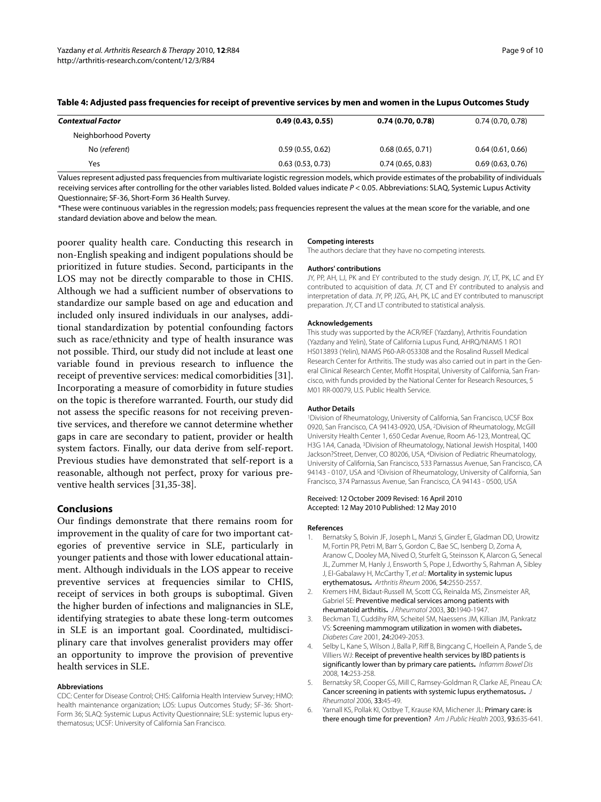| Contextual Factor    | 0.49(0.43, 0.55) | 0.74(0.70, 0.78) | 0.74(0.70, 0.78) |
|----------------------|------------------|------------------|------------------|
| Neighborhood Poverty |                  |                  |                  |
| No (referent)        | 0.59(0.55, 0.62) | 0.68(0.65, 0.71) | 0.64(0.61, 0.66) |
| Yes                  | 0.63(0.53, 0.73) | 0.74(0.65, 0.83) | 0.69(0.63, 0.76) |

**Table 4: Adjusted pass frequencies for receipt of preventive services by men and women in the Lupus Outcomes Study** 

Values represent adjusted pass frequencies from multivariate logistic regression models, which provide estimates of the probability of individuals receiving services after controlling for the other variables listed. Bolded values indicate P < 0.05. Abbreviations: SLAQ, Systemic Lupus Activity Questionnaire; SF-36, Short-Form 36 Health Survey.

\*These were continuous variables in the regression models; pass frequencies represent the values at the mean score for the variable, and one standard deviation above and below the mean.

poorer quality health care. Conducting this research in non-English speaking and indigent populations should be prioritized in future studies. Second, participants in the LOS may not be directly comparable to those in CHIS. Although we had a sufficient number of observations to standardize our sample based on age and education and included only insured individuals in our analyses, additional standardization by potential confounding factors such as race/ethnicity and type of health insurance was not possible. Third, our study did not include at least one variable found in previous research to influence the receipt of preventive services: medical comorbidities [\[31](#page-9-23)]. Incorporating a measure of comorbidity in future studies on the topic is therefore warranted. Fourth, our study did not assess the specific reasons for not receiving preventive services, and therefore we cannot determine whether gaps in care are secondary to patient, provider or health system factors. Finally, our data derive from self-report. Previous studies have demonstrated that self-report is a reasonable, although not perfect, proxy for various preventive health services [[31,](#page-9-23)[35](#page-9-27)[-38](#page-9-28)].

#### **Conclusions**

Our findings demonstrate that there remains room for improvement in the quality of care for two important categories of preventive service in SLE, particularly in younger patients and those with lower educational attainment. Although individuals in the LOS appear to receive preventive services at frequencies similar to CHIS, receipt of services in both groups is suboptimal. Given the higher burden of infections and malignancies in SLE, identifying strategies to abate these long-term outcomes in SLE is an important goal. Coordinated, multidisciplinary care that involves generalist providers may offer an opportunity to improve the provision of preventive health services in SLE.

#### **Abbreviations**

CDC: Center for Disease Control; CHIS: California Health Interview Survey; HMO: health maintenance organization; LOS: Lupus Outcomes Study; SF-36: Short-Form 36; SLAQ: Systemic Lupus Activity Questionnaire; SLE: systemic lupus erythematosus; UCSF: University of California San Francisco.

#### **Competing interests**

The authors declare that they have no competing interests.

#### **Authors' contributions**

JY, PP, AH, LJ, PK and EY contributed to the study design. JY, LT, PK, LC and EY contributed to acquisition of data. JY, CT and EY contributed to analysis and interpretation of data. JY, PP, JZG, AH, PK, LC and EY contributed to manuscript preparation. JY, CT and LT contributed to statistical analysis.

#### **Acknowledgements**

This study was supported by the ACR/REF (Yazdany), Arthritis Foundation (Yazdany and Yelin), State of California Lupus Fund, AHRQ/NIAMS 1 RO1 HS013893 (Yelin), NIAMS P60-AR-053308 and the Rosalind Russell Medical Research Center for Arthritis. The study was also carried out in part in the General Clinical Research Center, Moffit Hospital, University of California, San Francisco, with funds provided by the National Center for Research Resources, 5 M01 RR-00079, U.S. Public Health Service.

#### **Author Details**

1Division of Rheumatology, University of California, San Francisco, UCSF Box 0920, San Francisco, CA 94143-0920, USA, 2Division of Rheumatology, McGill University Health Center 1, 650 Cedar Avenue, Room A6-123, Montreal, QC H3G 1A4, Canada, 3Division of Rheumatology, National Jewish Hospital, 1400 Jackson?Street, Denver, CO 80206, USA, 4Division of Pediatric Rheumatology, University of California, San Francisco, 533 Parnassus Avenue, San Francisco, CA 94143 - 0107, USA and <sup>5</sup>Division of Rheumatology, University of California, San Francisco, 374 Parnassus Avenue, San Francisco, CA 94143 - 0500, USA

#### Received: 12 October 2009 Revised: 16 April 2010 Accepted: 12 May 2010 Published: 12 May 2010

#### **References**

- <span id="page-8-0"></span>1. Bernatsky S, Boivin JF, Joseph L, Manzi S, Ginzler E, Gladman DD, Urowitz M, Fortin PR, Petri M, Barr S, Gordon C, Bae SC, Isenberg D, Zoma A, Aranow C, Dooley MA, Nived O, Sturfelt G, Steinsson K, Alarcon G, Senecal JL, Zummer M, Hanly J, Ensworth S, Pope J, Edworthy S, Rahman A, Sibley J, El-Gabalawy H, McCarthy T, et al.: Mortality in systemic lupus erythematosu[s](http://www.ncbi.nlm.nih.gov/entrez/query.fcgi?cmd=Retrieve&db=PubMed&dopt=Abstract&list_uids=16868977)**.** Arthritis Rheum 2006, 54:2550-2557.
- <span id="page-8-1"></span>2. Kremers HM, Bidaut-Russell M, Scott CG, Reinalda MS, Zinsmeister AR, Gabriel SE: Preventive medical services among patients with rheumatoid arthriti[s](http://www.ncbi.nlm.nih.gov/entrez/query.fcgi?cmd=Retrieve&db=PubMed&dopt=Abstract&list_uids=12966594)**.** J Rheumatol 2003, 30:1940-1947.
- 3. Beckman TJ, Cuddihy RM, Scheitel SM, Naessens JM, Killian JM, Pankratz VS: Screening mammogram utilization in women with diabetes**.** Diabetes Care 2001, 24:2049-2053.
- Selby L, Kane S, Wilson J, Balla P, Riff B, Bingcang C, Hoellein A, Pande S, de Villiers WJ: Receipt of preventive health services by IBD patients is significantly lower than by primary care patients**.** Inflamm Bowel Dis 2008, 14:253-258.
- <span id="page-8-2"></span>5. Bernatsky SR, Cooper GS, Mill C, Ramsey-Goldman R, Clarke AE, Pineau CA: Cancer screening in patients with systemic lupus erythematosus**.** J Rheumatol 2006, 33:45-49.
- <span id="page-8-3"></span>6. Yarnall KS, Pollak KI, Ostbye T, Krause KM, Michener JL: Primary care: is thereenough time for prevention? Am J Public Health 2003, 93:635-641.